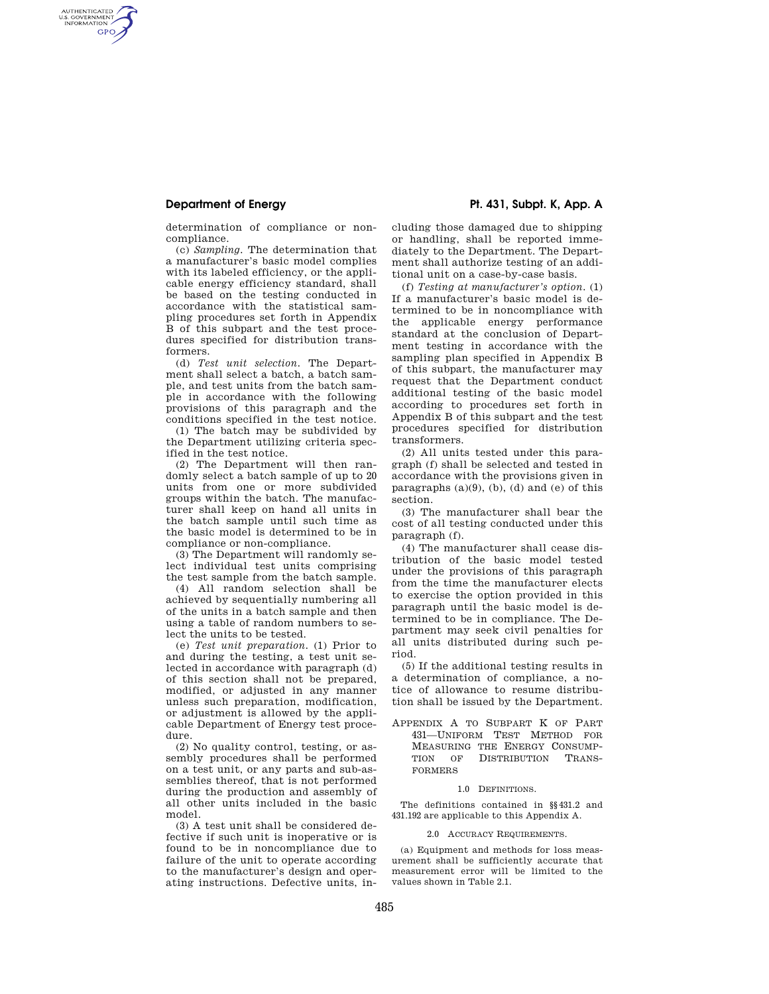AUTHENTICATED<br>U.S. GOVERNMENT<br>INFORMATION GPO

**Department of Energy Pt. 431, Subpt. K, App. A** 

determination of compliance or noncompliance.

(c) *Sampling.* The determination that a manufacturer's basic model complies with its labeled efficiency, or the applicable energy efficiency standard, shall be based on the testing conducted in accordance with the statistical sampling procedures set forth in Appendix B of this subpart and the test procedures specified for distribution transformers.

(d) *Test unit selection.* The Department shall select a batch, a batch sample, and test units from the batch sample in accordance with the following provisions of this paragraph and the conditions specified in the test notice.

(1) The batch may be subdivided by the Department utilizing criteria specified in the test notice.

(2) The Department will then randomly select a batch sample of up to 20 units from one or more subdivided groups within the batch. The manufacturer shall keep on hand all units in the batch sample until such time as the basic model is determined to be in compliance or non-compliance.

(3) The Department will randomly select individual test units comprising the test sample from the batch sample.

(4) All random selection shall be achieved by sequentially numbering all of the units in a batch sample and then using a table of random numbers to select the units to be tested.

(e) *Test unit preparation.* (1) Prior to and during the testing, a test unit selected in accordance with paragraph (d) of this section shall not be prepared, modified, or adjusted in any manner unless such preparation, modification, or adjustment is allowed by the applicable Department of Energy test procedure.

(2) No quality control, testing, or assembly procedures shall be performed on a test unit, or any parts and sub-assemblies thereof, that is not performed during the production and assembly of all other units included in the basic model.

(3) A test unit shall be considered defective if such unit is inoperative or is found to be in noncompliance due to failure of the unit to operate according to the manufacturer's design and operating instructions. Defective units, including those damaged due to shipping or handling, shall be reported immediately to the Department. The Department shall authorize testing of an additional unit on a case-by-case basis.

(f) *Testing at manufacturer's option.* (1) If a manufacturer's basic model is determined to be in noncompliance with the applicable energy performance standard at the conclusion of Department testing in accordance with the sampling plan specified in Appendix B of this subpart, the manufacturer may request that the Department conduct additional testing of the basic model according to procedures set forth in Appendix B of this subpart and the test procedures specified for distribution transformers.

(2) All units tested under this paragraph (f) shall be selected and tested in accordance with the provisions given in paragraphs  $(a)(9)$ ,  $(b)$ ,  $(d)$  and  $(e)$  of this section.

(3) The manufacturer shall bear the cost of all testing conducted under this paragraph (f).

(4) The manufacturer shall cease distribution of the basic model tested under the provisions of this paragraph from the time the manufacturer elects to exercise the option provided in this paragraph until the basic model is determined to be in compliance. The Department may seek civil penalties for all units distributed during such period.

(5) If the additional testing results in a determination of compliance, a notice of allowance to resume distribution shall be issued by the Department.

APPENDIX A TO SUBPART K OF PART 431—UNIFORM TEST METHOD FOR MEASURING THE ENERGY CONSUMP-TION OF DISTRIBUTION TRANS-FORMERS

### 1.0 DEFINITIONS.

The definitions contained in §§431.2 and 431.192 are applicable to this Appendix A.

2.0 ACCURACY REQUIREMENTS.

(a) Equipment and methods for loss measurement shall be sufficiently accurate that measurement error will be limited to the values shown in Table 2.1.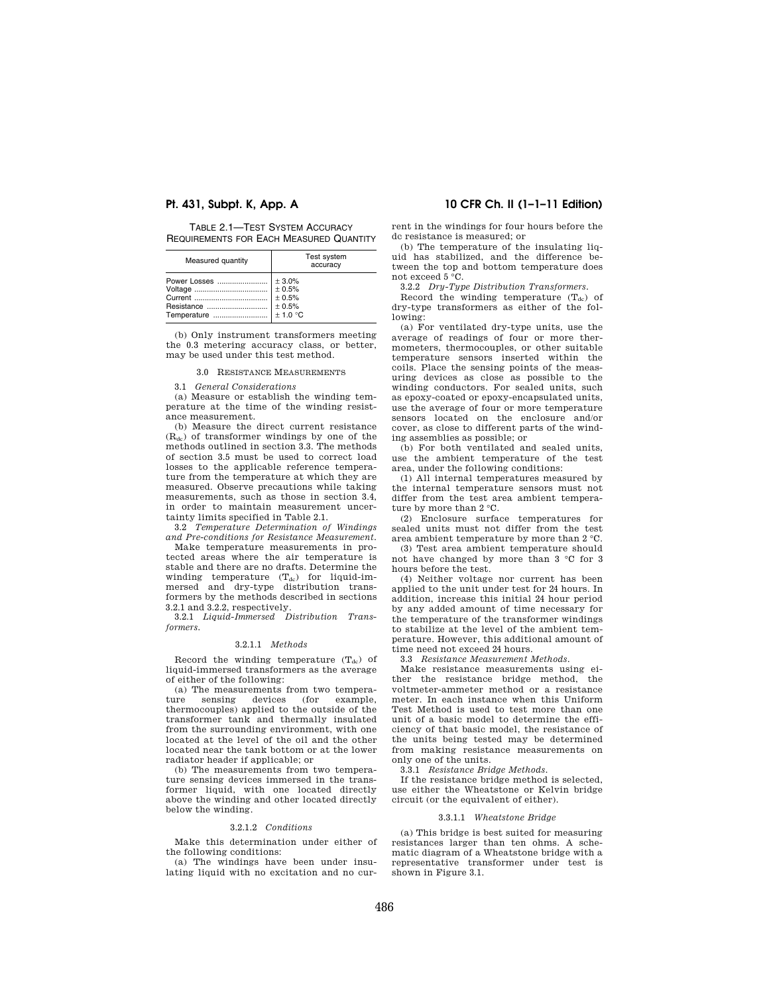TABLE 2.1—TEST SYSTEM ACCURACY REQUIREMENTS FOR EACH MEASURED QUANTITY

| Measured quantity | Test system<br>accuracy |
|-------------------|-------------------------|
|                   |                         |

(b) Only instrument transformers meeting the 0.3 metering accuracy class, or better, may be used under this test method.

### 3.0 RESISTANCE MEASUREMENTS

3.1 *General Considerations* 

(a) Measure or establish the winding temperature at the time of the winding resistance measurement.

(b) Measure the direct current resistance  $(R_{dc})$  of transformer windings by one of the methods outlined in section 3.3. The methods of section 3.5 must be used to correct load losses to the applicable reference temperature from the temperature at which they are measured. Observe precautions while taking measurements, such as those in section 3.4, in order to maintain measurement uncertainty limits specified in Table 2.1.

3.2 *Temperature Determination of Windings and Pre-conditions for Resistance Measurement.* 

Make temperature measurements in protected areas where the air temperature is stable and there are no drafts. Determine the winding temperature  $(T_{dc})$  for liquid-immersed and dry-type distribution transformers by the methods described in sections 3.2.1 and 3.2.2, respectively.

3.2.1 *Liquid-Immersed Distribution Transformers.* 

#### 3.2.1.1 *Methods*

Record the winding temperature  $(T_{dc})$  of liquid-immersed transformers as the average of either of the following:

(a) The measurements from two temperature sensing devices (for example, thermocouples) applied to the outside of the transformer tank and thermally insulated from the surrounding environment, with one located at the level of the oil and the other located near the tank bottom or at the lower radiator header if applicable; or

(b) The measurements from two temperature sensing devices immersed in the transformer liquid, with one located directly above the winding and other located directly below the winding.

### 3.2.1.2 *Conditions*

Make this determination under either of the following conditions:

(a) The windings have been under insulating liquid with no excitation and no cur-

# **Pt. 431, Subpt. K, App. A 10 CFR Ch. II (1–1–11 Edition)**

rent in the windings for four hours before the dc resistance is measured; or

(b) The temperature of the insulating liquid has stabilized, and the difference between the top and bottom temperature does not exceed 5 °C.

3.2.2 *Dry-Type Distribution Transformers.* 

Record the winding temperature  $(T_{dc})$  of dry-type transformers as either of the following:

(a) For ventilated dry-type units, use the average of readings of four or more thermometers, thermocouples, or other suitable temperature sensors inserted within the coils. Place the sensing points of the measuring devices as close as possible to the winding conductors. For sealed units, such as epoxy-coated or epoxy-encapsulated units, use the average of four or more temperature sensors located on the enclosure and/or cover, as close to different parts of the winding assemblies as possible; or

(b) For both ventilated and sealed units, use the ambient temperature of the test area, under the following conditions:

(1) All internal temperatures measured by the internal temperature sensors must not differ from the test area ambient temperature by more than 2 °C.

(2) Enclosure surface temperatures for sealed units must not differ from the test area ambient temperature by more than 2 °C.

(3) Test area ambient temperature should not have changed by more than 3 °C for 3 hours before the test.

(4) Neither voltage nor current has been applied to the unit under test for 24 hours. In addition, increase this initial 24 hour period by any added amount of time necessary for the temperature of the transformer windings to stabilize at the level of the ambient temperature. However, this additional amount of time need not exceed 24 hours.

3.3 *Resistance Measurement Methods.* 

Make resistance measurements using either the resistance bridge method, the voltmeter-ammeter method or a resistance meter. In each instance when this Uniform Test Method is used to test more than one unit of a basic model to determine the efficiency of that basic model, the resistance of the units being tested may be determined from making resistance measurements on only one of the units.

3.3.1 *Resistance Bridge Methods.* 

If the resistance bridge method is selected, use either the Wheatstone or Kelvin bridge circuit (or the equivalent of either).

### 3.3.1.1 *Wheatstone Bridge*

(a) This bridge is best suited for measuring resistances larger than ten ohms. A schematic diagram of a Wheatstone bridge with a representative transformer under test is shown in Figure 3.1.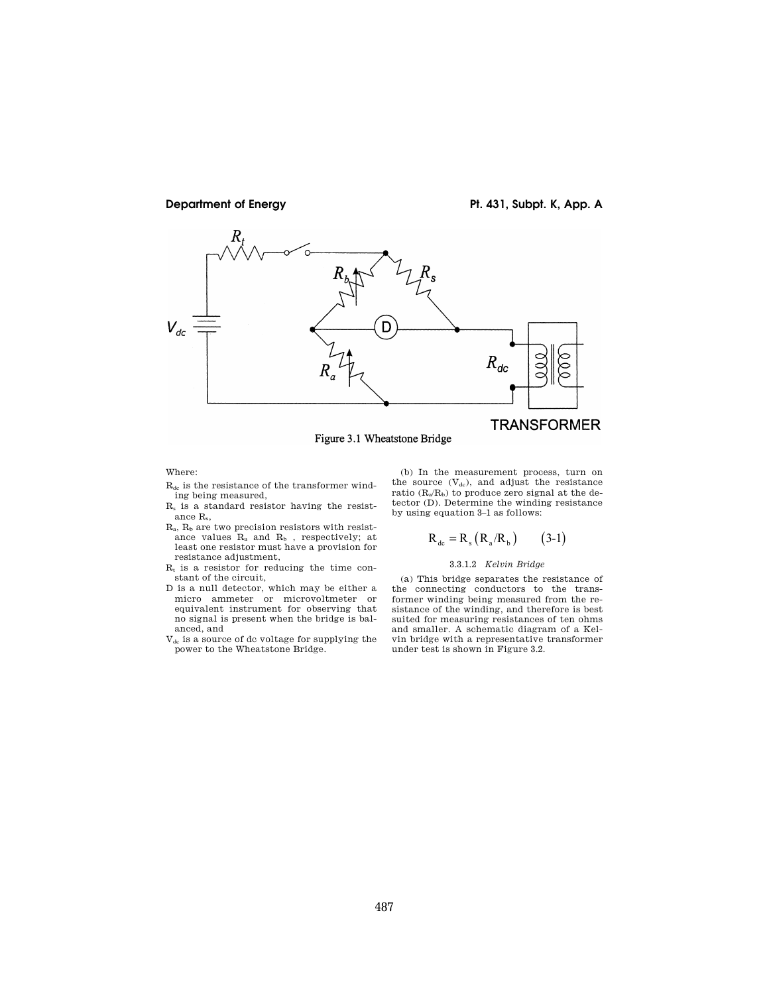

**Department of Energy Pt. 431, Subpt. K, App. A** 

# **TRANSFORMER**

Figure 3.1 Wheatstone Bridge

#### Where:

- $R_{dc}$  is the resistance of the transformer winding being measured,
- R<sup>s</sup> is a standard resistor having the resistance Rs,
- $R_a$ ,  $R_b$  are two precision resistors with resistance values  $R_a$  and  $R_b$ , respectively; at least one resistor must have a provision for resistance adjustment,
- $R_t$  is a resistor for reducing the time constant of the circuit,
- D is a null detector, which may be either a micro ammeter or microvoltmeter or equivalent instrument for observing that no signal is present when the bridge is balanced, and
- Vdc is a source of dc voltage for supplying the power to the Wheatstone Bridge.

(b) In the measurement process, turn on the source  $(V_{dc})$ , and adjust the resistance ratio  $(R_a/R_b)$  to produce zero signal at the detector (D). Determine the winding resistance by using equation 3–1 as follows:

$$
R_{dc} = R_s (R_a/R_b)
$$
 (3-1)

### 3.3.1.2 *Kelvin Bridge*

(a) This bridge separates the resistance of the connecting conductors to the transformer winding being measured from the resistance of the winding, and therefore is best suited for measuring resistances of ten ohms and smaller. A schematic diagram of a Kelvin bridge with a representative transformer under test is shown in Figure 3.2.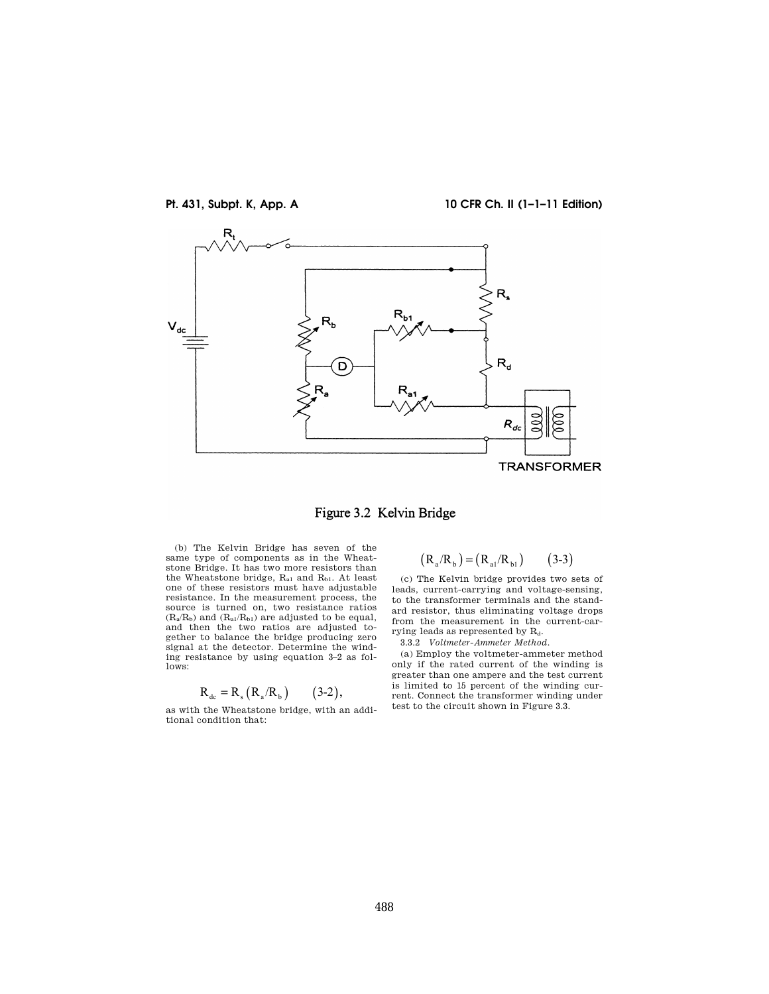

**Pt. 431, Subpt. K, App. A 10 CFR Ch. II (1–1–11 Edition)** 



Figure 3.2 Kelvin Bridge

(b) The Kelvin Bridge has seven of the same type of components as in the Wheatstone Bridge. It has two more resistors than the Wheatstone bridge,  $R_{a1}$  and  $R_{b1}$ . At least one of these resistors must have adjustable resistance. In the measurement process, the source is turned on, two resistance ratios  $(R_a/R_b)$  and  $(R_{a1}/R_{b1})$  are adjusted to be equal, and then the two ratios are adjusted together to balance the bridge producing zero signal at the detector. Determine the winding resistance by using equation 3–2 as follows:

$$
R_{\text{dc}} = R_{\text{s}} (R_{\text{a}}/R_{\text{b}})
$$
 (3-2),

as with the Wheatstone bridge, with an additional condition that:

$$
(R_a/R_b) = (R_{a1}/R_{b1}) \qquad (3-3)
$$

(c) The Kelvin bridge provides two sets of leads, current-carrying and voltage-sensing, to the transformer terminals and the standard resistor, thus eliminating voltage drops from the measurement in the current-carrying leads as represented by  $R_d$ .

3.3.2 *Voltmeter-Ammeter Method.* 

(a) Employ the voltmeter-ammeter method only if the rated current of the winding is greater than one ampere and the test current is limited to 15 percent of the winding current. Connect the transformer winding under test to the circuit shown in Figure 3.3.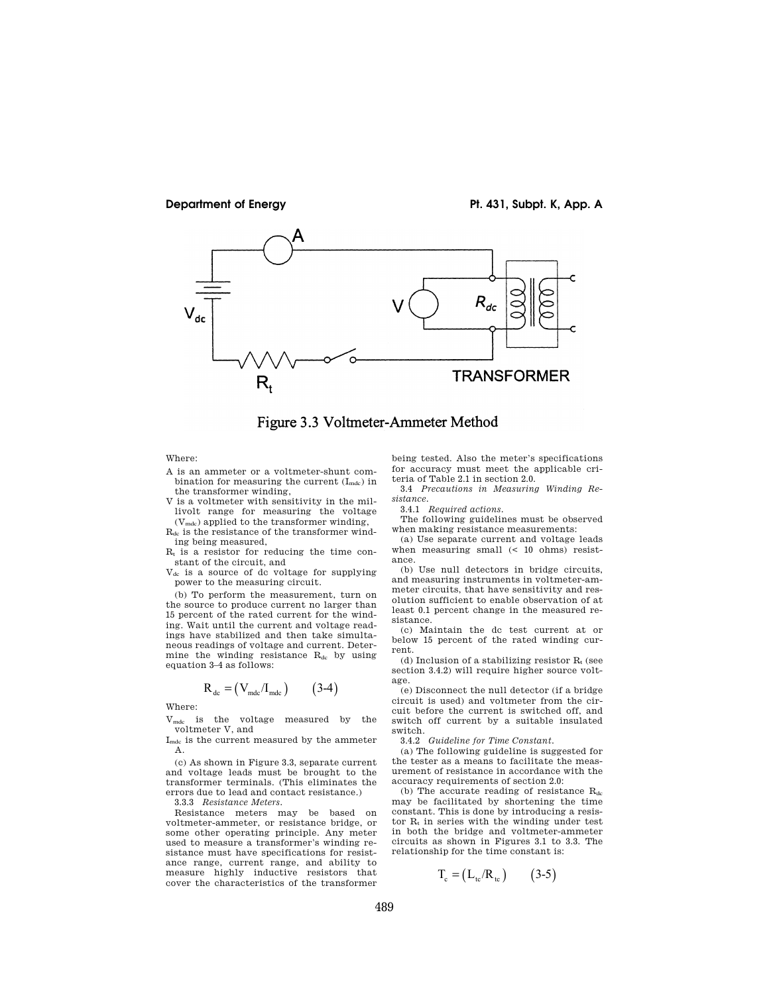





Where:

- A is an ammeter or a voltmeter-shunt combination for measuring the current  $(I_{\text{mdc}})$  in the transformer winding,
- V is a voltmeter with sensitivity in the millivolt range for measuring the voltage

(Vmdc) applied to the transformer winding,  $R_{dc}$  is the resistance of the transformer winding being measured,

 $R_t$  is a resistor for reducing the time constant of the circuit, and

Vdc is a source of dc voltage for supplying power to the measuring circuit.

(b) To perform the measurement, turn on the source to produce current no larger than 15 percent of the rated current for the winding. Wait until the current and voltage readings have stabilized and then take simultaneous readings of voltage and current. Determine the winding resistance R<sub>dc</sub> by using equation 3–4 as follows:

$$
R_{dc} = (V_{\text{mdc}}/I_{\text{mdc}}) \qquad (3-4)
$$

Where:

Vmdc is the voltage measured by the voltmeter V, and

I<sub>mdc</sub> is the current measured by the ammeter A.

(c) As shown in Figure 3.3, separate current and voltage leads must be brought to the transformer terminals. (This eliminates the errors due to lead and contact resistance.)

3.3.3 *Resistance Meters.* 

Resistance meters may be based on voltmeter-ammeter, or resistance bridge, or some other operating principle. Any meter used to measure a transformer's winding resistance must have specifications for resistance range, current range, and ability to measure highly inductive resistors that cover the characteristics of the transformer being tested. Also the meter's specifications for accuracy must meet the applicable criteria of Table 2.1 in section 2.0.

3.4 *Precautions in Measuring Winding Resistance.* 

3.4.1 *Required actions.* 

The following guidelines must be observed when making resistance measurements:

(a) Use separate current and voltage leads when measuring small (< 10 ohms) resistance.

(b) Use null detectors in bridge circuits, and measuring instruments in voltmeter-ammeter circuits, that have sensitivity and resolution sufficient to enable observation of at least 0.1 percent change in the measured resistance.

(c) Maintain the dc test current at or below 15 percent of the rated winding current.

(d) Inclusion of a stabilizing resistor  $R_t$  (see section 3.4.2) will require higher source voltage.

(e) Disconnect the null detector (if a bridge circuit is used) and voltmeter from the circuit before the current is switched off, and switch off current by a suitable insulated switch.

3.4.2 *Guideline for Time Constant.* 

(a) The following guideline is suggested for the tester as a means to facilitate the measurement of resistance in accordance with the accuracy requirements of section 2.0:

(b) The accurate reading of resistance  $R_{dc}$ may be facilitated by shortening the time constant. This is done by introducing a resistor  $R_t$  in series with the winding under test in both the bridge and voltmeter-ammeter circuits as shown in Figures 3.1 to 3.3. The relationship for the time constant is:

$$
T_c = (L_{tc}/R_{tc}) \qquad (3-5)
$$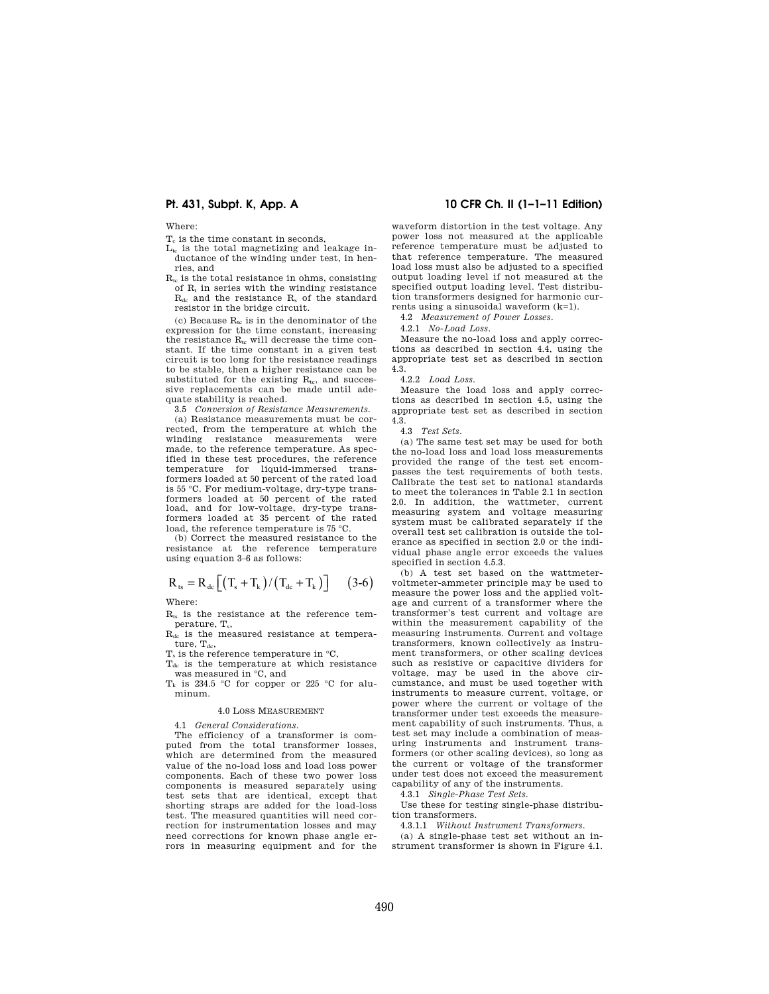Where:

 $T<sub>c</sub>$  is the time constant in seconds,

- $L_{tc}$  is the total magnetizing and leakage inductance of the winding under test, in henries, and
- $R_{tc}$  is the total resistance in ohms, consisting of  $R_t$  in series with the winding resistance Rdc and the resistance R<sup>s</sup> of the standard resistor in the bridge circuit.

(c) Because  $R_{tc}$  is in the denominator of the expression for the time constant, increasing the resistance  $R_{tc}$  will decrease the time constant. If the time constant in a given test circuit is too long for the resistance readings to be stable, then a higher resistance can be substituted for the existing  $R_{tc}$ , and successive replacements can be made until adequate stability is reached.

3.5 *Conversion of Resistance Measurements.* 

(a) Resistance measurements must be corrected, from the temperature at which the winding resistance measurements were made, to the reference temperature. As specified in these test procedures, the reference temperature for liquid-immersed transformers loaded at 50 percent of the rated load is 55 °C. For medium-voltage, dry-type transformers loaded at 50 percent of the rated load, and for low-voltage, dry-type transformers loaded at 35 percent of the rated load, the reference temperature is 75 °C.

(b) Correct the measured resistance to the resistance at the reference temperature using equation 3–6 as follows:

# $R_{\text{ts}} = R_{\text{dc}} \left[ \left( T_{\text{s}} + T_{\text{k}} \right) / \left( T_{\text{dc}} + T_{\text{k}} \right) \right]$  (3-6) Where:

 $R_{ts}$  is the resistance at the reference temperature, T<sub>s</sub>,

Rdc is the measured resistance at temperature,  $T_{dc}$ ,

 $T_s$  is the reference temperature in  $°C$ ,

Tdc is the temperature at which resistance was measured in °C, and

 $T_k$  is 234.5 °C for copper or 225 °C for aluminum.

#### 4.0 LOSS MEASUREMENT

4.1 *General Considerations.* 

The efficiency of a transformer is computed from the total transformer losses, which are determined from the measured value of the no-load loss and load loss power components. Each of these two power loss components is measured separately using test sets that are identical, except that shorting straps are added for the load-loss test. The measured quantities will need correction for instrumentation losses and may need corrections for known phase angle errors in measuring equipment and for the

## **Pt. 431, Subpt. K, App. A 10 CFR Ch. II (1–1–11 Edition)**

waveform distortion in the test voltage. Any power loss not measured at the applicable reference temperature must be adjusted to that reference temperature. The measured load loss must also be adjusted to a specified output loading level if not measured at the specified output loading level. Test distribution transformers designed for harmonic currents using a sinusoidal waveform (k=1).

4.2 *Measurement of Power Losses.* 

4.2.1 *No-Load Loss.* 

Measure the no-load loss and apply corrections as described in section 4.4, using the appropriate test set as described in section 4.3.

### 4.2.2 *Load Loss.*

Measure the load loss and apply corrections as described in section 4.5, using the appropriate test set as described in section 4.3.

4.3 *Test Sets.* 

(a) The same test set may be used for both the no-load loss and load loss measurements provided the range of the test set encompasses the test requirements of both tests. Calibrate the test set to national standards to meet the tolerances in Table 2.1 in section 2.0. In addition, the wattmeter, current measuring system and voltage measuring system must be calibrated separately if the overall test set calibration is outside the tolerance as specified in section 2.0 or the individual phase angle error exceeds the values specified in section 4.5.3.

(b) A test set based on the wattmetervoltmeter-ammeter principle may be used to measure the power loss and the applied voltage and current of a transformer where the transformer's test current and voltage are within the measurement capability of the measuring instruments. Current and voltage transformers, known collectively as instrument transformers, or other scaling devices such as resistive or capacitive dividers for voltage, may be used in the above circumstance, and must be used together with instruments to measure current, voltage, or power where the current or voltage of the transformer under test exceeds the measurement capability of such instruments. Thus, a test set may include a combination of measuring instruments and instrument transformers (or other scaling devices), so long as the current or voltage of the transformer under test does not exceed the measurement capability of any of the instruments.

4.3.1 *Single-Phase Test Sets.* 

Use these for testing single-phase distribution transformers.

4.3.1.1 *Without Instrument Transformers.*  (a) A single-phase test set without an instrument transformer is shown in Figure 4.1.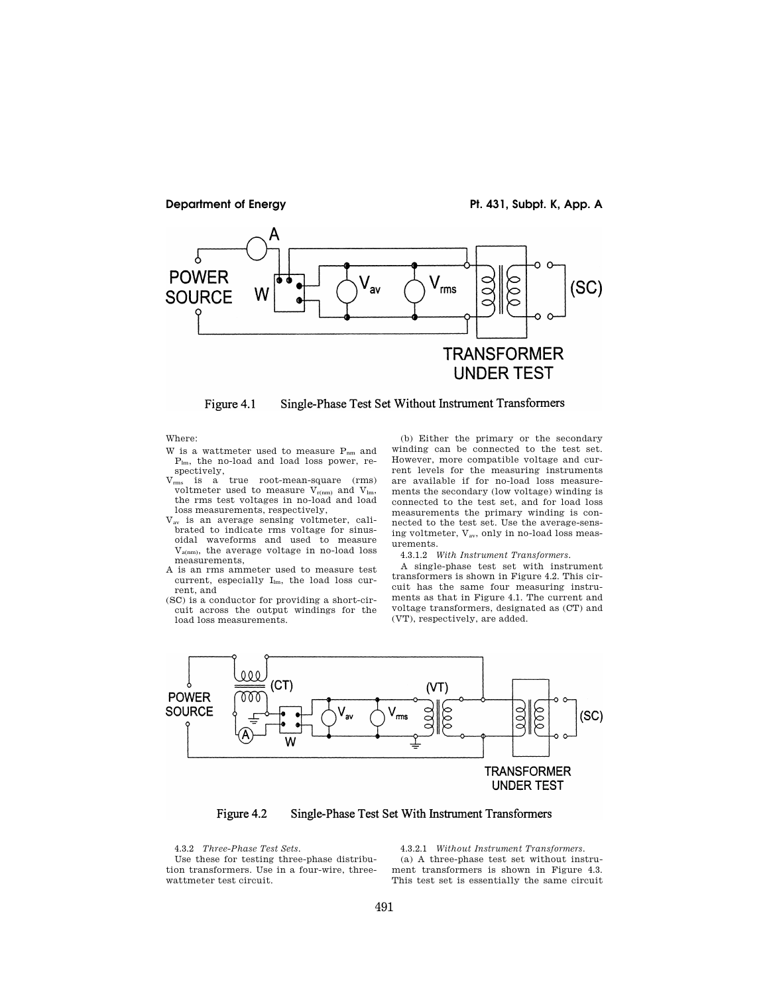

Single-Phase Test Set Without Instrument Transformers Figure 4.1

Where:

- W is a wattmeter used to measure  $P_{nm}$  and Plm, the no-load and load loss power, respectively,
- Vrms is a true root-mean-square (rms) voltmeter used to measure  $V_{r(nm)}$  and  $V_{lm}$ , the rms test voltages in no-load and load loss measurements, respectively,
- Vav is an average sensing voltmeter, calibrated to indicate rms voltage for sinusoidal waveforms and used to measure  $V_{\text{a(nm)}}$ , the average voltage in no-load loss measurements,
- A is an rms ammeter used to measure test current, especially  $I_{lm}$ , the load loss current, and
- (SC) is a conductor for providing a short-circuit across the output windings for the load loss measurements.

(b) Either the primary or the secondary winding can be connected to the test set. However, more compatible voltage and current levels for the measuring instruments are available if for no-load loss measurements the secondary (low voltage) winding is connected to the test set, and for load loss measurements the primary winding is connected to the test set. Use the average-sensing voltmeter, Vav, only in no-load loss measurements.

4.3.1.2 *With Instrument Transformers.* 

A single-phase test set with instrument transformers is shown in Figure 4.2. This circuit has the same four measuring instruments as that in Figure 4.1. The current and voltage transformers, designated as (CT) and (VT), respectively, are added.



Figure 4.2 Single-Phase Test Set With Instrument Transformers

4.3.2 *Three-Phase Test Sets.* 

Use these for testing three-phase distribution transformers. Use in a four-wire, threewattmeter test circuit.

4.3.2.1 *Without Instrument Transformers.*  (a) A three-phase test set without instrument transformers is shown in Figure 4.3. This test set is essentially the same circuit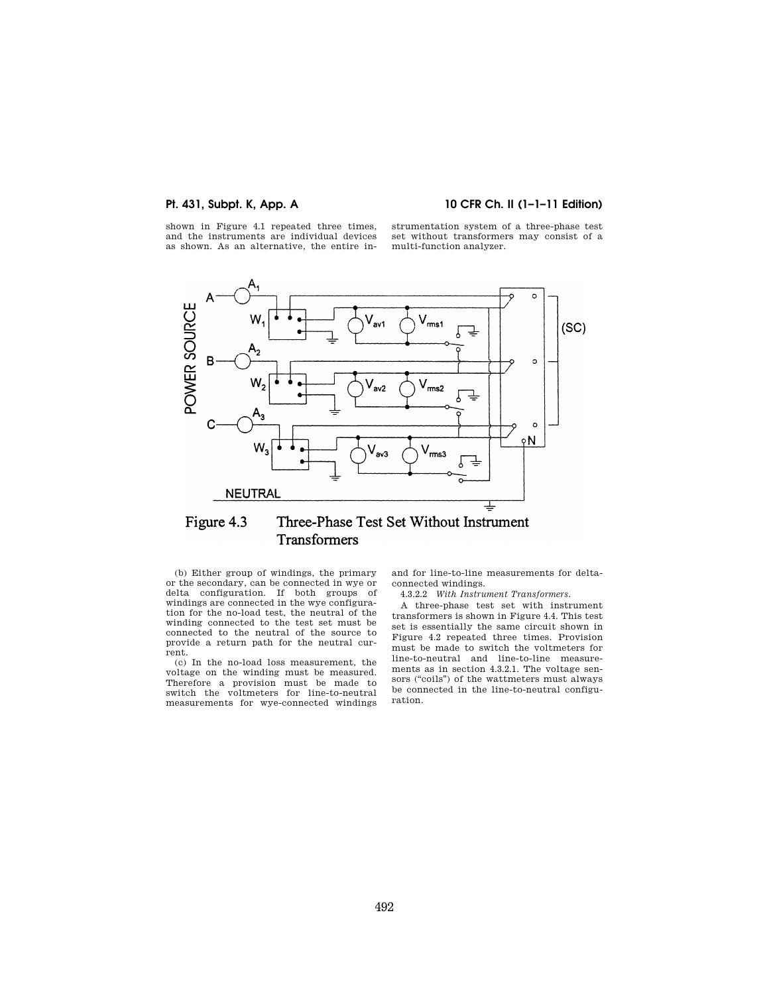# **Pt. 431, Subpt. K, App. A 10 CFR Ch. II (1–1–11 Edition)**

shown in Figure 4.1 repeated three times, and the instruments are individual devices as shown. As an alternative, the entire instrumentation system of a three-phase test set without transformers may consist of a multi-function analyzer.



### Figure 4.3 Three-Phase Test Set Without Instrument Transformers

(b) Either group of windings, the primary or the secondary, can be connected in wye or delta configuration. If both groups of windings are connected in the wye configuration for the no-load test, the neutral of the winding connected to the test set must be connected to the neutral of the source to provide a return path for the neutral current.

(c) In the no-load loss measurement, the voltage on the winding must be measured. Therefore a provision must be made to switch the voltmeters for line-to-neutral measurements for wye-connected windings

and for line-to-line measurements for deltaconnected windings.

4.3.2.2 *With Instrument Transformers.* 

A three-phase test set with instrument transformers is shown in Figure 4.4. This test set is essentially the same circuit shown in Figure 4.2 repeated three times. Provision must be made to switch the voltmeters for line-to-neutral and line-to-line measurements as in section 4.3.2.1. The voltage sensors (''coils'') of the wattmeters must always be connected in the line-to-neutral configuration.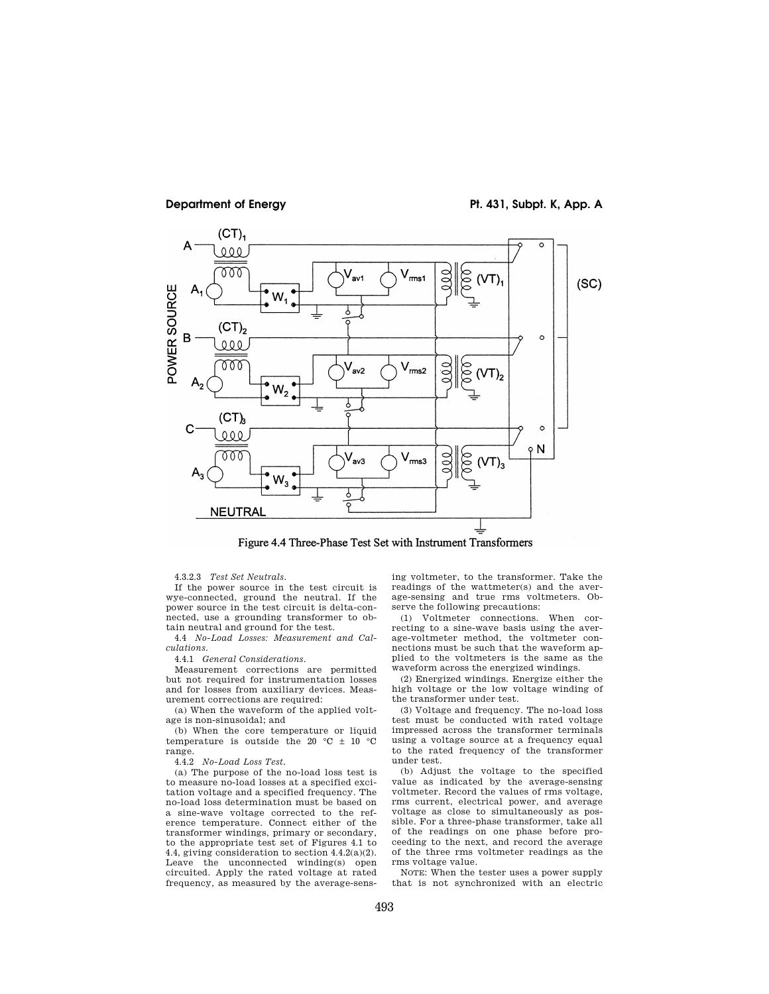

**Department of Energy Pt. 431, Subpt. K, App. A** 

Figure 4.4 Three-Phase Test Set with Instrument Transformers

4.3.2.3 *Test Set Neutrals.* 

If the power source in the test circuit is wye-connected, ground the neutral. If the power source in the test circuit is delta-connected, use a grounding transformer to obtain neutral and ground for the test.

4.4 *No-Load Losses: Measurement and Calculations.* 

4.4.1 *General Considerations.* 

Measurement corrections are permitted but not required for instrumentation losses and for losses from auxiliary devices. Measurement corrections are required:

(a) When the waveform of the applied voltage is non-sinusoidal; and

(b) When the core temperature or liquid temperature is outside the 20  $\degree$ C  $\pm$  10  $\degree$ C range.

4.4.2 *No-Load Loss Test.* 

(a) The purpose of the no-load loss test is to measure no-load losses at a specified excitation voltage and a specified frequency. The no-load loss determination must be based on a sine-wave voltage corrected to the reference temperature. Connect either of the transformer windings, primary or secondary, to the appropriate test set of Figures 4.1 to 4.4, giving consideration to section 4.4.2(a)(2). Leave the unconnected winding(s) open circuited. Apply the rated voltage at rated frequency, as measured by the average-sens-

ing voltmeter, to the transformer. Take the readings of the wattmeter(s) and the average-sensing and true rms voltmeters. Observe the following precautions:

(1) Voltmeter connections. When correcting to a sine-wave basis using the average-voltmeter method, the voltmeter connections must be such that the waveform applied to the voltmeters is the same as the waveform across the energized windings.

(2) Energized windings. Energize either the high voltage or the low voltage winding of the transformer under test.

(3) Voltage and frequency. The no-load loss test must be conducted with rated voltage impressed across the transformer terminals using a voltage source at a frequency equal to the rated frequency of the transformer under test.

(b) Adjust the voltage to the specified value as indicated by the average-sensing voltmeter. Record the values of rms voltage, rms current, electrical power, and average voltage as close to simultaneously as possible. For a three-phase transformer, take all of the readings on one phase before proceeding to the next, and record the average of the three rms voltmeter readings as the rms voltage value.

NOTE: When the tester uses a power supply that is not synchronized with an electric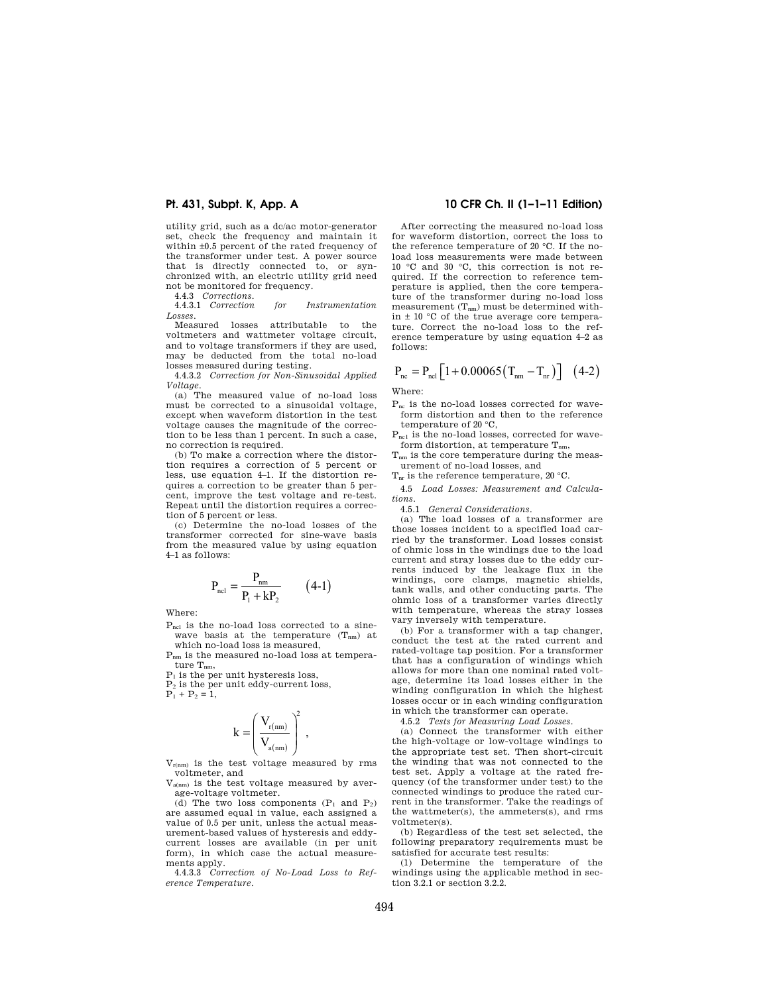utility grid, such as a dc/ac motor-generator set, check the frequency and maintain it within  $\pm 0.5$  percent of the rated frequency of the transformer under test. A power source that is directly connected to, or synchronized with, an electric utility grid need not be monitored for frequency.

4.4.3 *Corrections*.

4.4.3.1 *Correction for Instrumentation Losses*.

Measured losses attributable to the voltmeters and wattmeter voltage circuit, and to voltage transformers if they are used, may be deducted from the total no-load losses measured during testing.

4.4.3.2 *Correction for Non-Sinusoidal Applied Voltage*.

(a) The measured value of no-load loss must be corrected to a sinusoidal voltage, except when waveform distortion in the test voltage causes the magnitude of the correction to be less than 1 percent. In such a case, no correction is required.

(b) To make a correction where the distortion requires a correction of 5 percent or less, use equation 4–1. If the distortion requires a correction to be greater than 5 percent, improve the test voltage and re-test. Repeat until the distortion requires a correction of 5 percent or less.

(c) Determine the no-load losses of the transformer corrected for sine-wave basis from the measured value by using equation 4–1 as follows:

$$
P_{\text{ncl}} = \frac{P_{\text{nm}}}{P_1 + kP_2} \qquad (4-1)
$$

Where:

Pncl is the no-load loss corrected to a sinewave basis at the temperature  $(T_{nm})$  at which no-load loss is measured,

Pnm is the measured no-load loss at temperature  $T_{nm}$ ,

 $P<sub>1</sub>$  is the per unit hysteresis loss,

P<sup>2</sup> is the per unit eddy-current loss,

 $P_1 + P_2 = 1$ ,

$$
k=\left(\frac{V_{r(nm)}}{V_{a(nm)}}\right)^{\!2}\;,
$$

 $V_{r(nm)}$  is the test voltage measured by rms voltmeter, and

 $V_{\text{a(nm)}}$  is the test voltage measured by average-voltage voltmeter.

(d) The two loss components  $(P_1$  and  $P_2$ ) are assumed equal in value, each assigned a value of 0.5 per unit, unless the actual measurement-based values of hysteresis and eddycurrent losses are available (in per unit form), in which case the actual measurements apply.

4.4.3.3 *Correction of No-Load Loss to Reference Temperature*.

## **Pt. 431, Subpt. K, App. A 10 CFR Ch. II (1–1–11 Edition)**

After correcting the measured no-load loss for waveform distortion, correct the loss to the reference temperature of 20 °C. If the noload loss measurements were made between 10 °C and 30 °C, this correction is not required. If the correction to reference temperature is applied, then the core temperature of the transformer during no-load loss measurement  $(T_{nm})$  must be determined within  $\pm$  10 °C of the true average core temperature. Correct the no-load loss to the reference temperature by using equation 4–2 as follows:

$$
P_{\text{nc}} = P_{\text{ncl}} \left[ 1 + 0.00065 \left( T_{\text{nm}} - T_{\text{nr}} \right) \right] \tag{4-2}
$$

Where:

Pnc is the no-load losses corrected for waveform distortion and then to the reference temperature of 20 °C,

 $P_{nc1}$  is the no-load losses, corrected for waveform distortion, at temperature  $T_{nm}$ ,

Tnm is the core temperature during the measurement of no-load losses, and

 $T_{nr}$  is the reference temperature, 20 °C.

4.5 *Load Losses: Measurement and Calculations*.

4.5.1 *General Considerations*.

(a) The load losses of a transformer are those losses incident to a specified load carried by the transformer. Load losses consist of ohmic loss in the windings due to the load current and stray losses due to the eddy currents induced by the leakage flux in the windings, core clamps, magnetic shields, tank walls, and other conducting parts. The ohmic loss of a transformer varies directly with temperature, whereas the stray losses vary inversely with temperature.

(b) For a transformer with a tap changer, conduct the test at the rated current and rated-voltage tap position. For a transformer that has a configuration of windings which allows for more than one nominal rated voltage, determine its load losses either in the winding configuration in which the highest losses occur or in each winding configuration in which the transformer can operate.

4.5.2 *Tests for Measuring Load Losses*.

(a) Connect the transformer with either the high-voltage or low-voltage windings to the appropriate test set. Then short-circuit the winding that was not connected to the test set. Apply a voltage at the rated frequency (of the transformer under test) to the connected windings to produce the rated current in the transformer. Take the readings of the wattmeter(s), the ammeters(s), and rms voltmeter(s).

(b) Regardless of the test set selected, the following preparatory requirements must be satisfied for accurate test results:

(1) Determine the temperature of the windings using the applicable method in section 3.2.1 or section 3.2.2.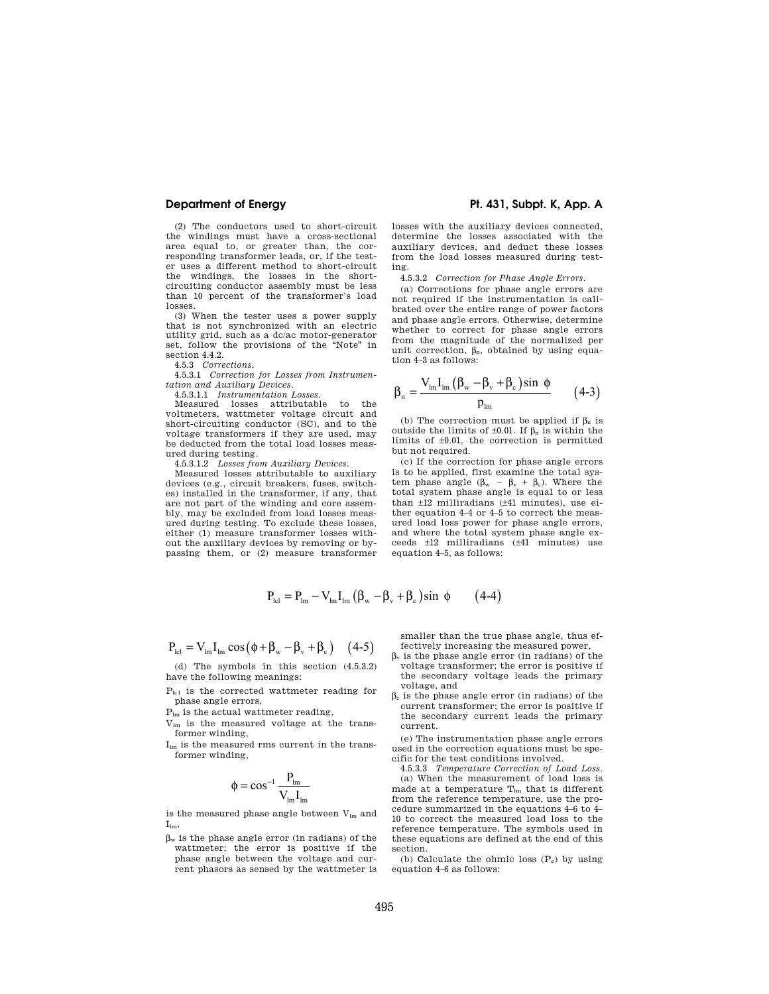(2) The conductors used to short-circuit the windings must have a cross-sectional area equal to, or greater than, the corresponding transformer leads, or, if the tester uses a different method to short-circuit the windings, the losses in the shortcircuiting conductor assembly must be less than 10 percent of the transformer's load losses.

(3) When the tester uses a power supply that is not synchronized with an electric utility grid, such as a dc/ac motor-generator set, follow the provisions of the ''Note'' in section 4.4.2.

4.5.3 *Corrections*.

4.5.3.1 *Correction for Losses from Instrumentation and Auxiliary Devices*.

4.5.3.1.1 *Instrumentation Losses*.

Measured losses attributable to the voltmeters, wattmeter voltage circuit and short-circuiting conductor (SC), and to the voltage transformers if they are used, may be deducted from the total load losses measured during testing.<br>4.5.3.1.2 Losses fro

4.5.3.1.2 *Losses from Auxiliary Devices*.

Measured losses attributable to auxiliary devices (e.g., circuit breakers, fuses, switches) installed in the transformer, if any, that are not part of the winding and core assembly, may be excluded from load losses measured during testing. To exclude these losses, either (1) measure transformer losses without the auxiliary devices by removing or bypassing them, or (2) measure transformer

# **Department of Energy Pt. 431, Subpt. K, App. A**

losses with the auxiliary devices connected, determine the losses associated with the auxiliary devices, and deduct these losses from the load losses measured during testing.

4.5.3.2 *Correction for Phase Angle Errors*.

(a) Corrections for phase angle errors are not required if the instrumentation is calibrated over the entire range of power factors and phase angle errors. Otherwise, determine whether to correct for phase angle errors from the magnitude of the normalized per unit correction,  $\beta_n$ , obtained by using equation 4–3 as follows:

$$
\beta_{n} = \frac{V_{lm}I_{lm}(\beta_{w} - \beta_{v} + \beta_{c})\sin \phi}{p_{lm}} \qquad (4-3)
$$

(b) The correction must be applied if  $\beta_n$  is outside the limits of  $\pm 0.01$ . If  $\beta_n$  is within the limits of ±0.01, the correction is permitted but not required.

(c) If the correction for phase angle errors is to be applied, first examine the total system phase angle  $(\beta_w - \beta_v + \beta_c)$ . Where the total system phase angle is equal to or less than ±12 milliradians (±41 minutes), use either equation 4–4 or 4–5 to correct the measured load loss power for phase angle errors, and where the total system phase angle exceeds ±12 milliradians (±41 minutes) use equation 4–5, as follows:

$$
P_{\text{lel}} = P_{\text{lm}} - V_{\text{lm}} I_{\text{lm}} \left( \beta_{\text{w}} - \beta_{\text{v}} + \beta_{\text{c}} \right) \sin \phi \qquad (4-4)
$$

$$
P_{\text{icl}} = V_{\text{lm}} I_{\text{lm}} \cos \left( \phi + \beta_{\text{w}} - \beta_{\text{v}} + \beta_{\text{c}} \right) \quad (4-5)
$$

(d) The symbols in this section (4.5.3.2) have the following meanings:

- Plc1 is the corrected wattmeter reading for phase angle errors,
- Plm is the actual wattmeter reading,
- Vlm is the measured voltage at the transformer winding,
- Ilm is the measured rms current in the transformer winding,

$$
\varphi = \cos^{-1} \frac{P_{lm}}{V_{lm} I_{lm}}
$$

is the measured phase angle between  $\rm V_{lm}$  and  $I_{lm}$ 

 $\beta_w$  is the phase angle error (in radians) of the wattmeter; the error is positive if the phase angle between the voltage and current phasors as sensed by the wattmeter is smaller than the true phase angle, thus effectively increasing the measured power,

- $\beta_v$  is the phase angle error (in radians) of the voltage transformer; the error is positive if the secondary voltage leads the primary voltage, and
- $\beta_c$  is the phase angle error (in radians) of the current transformer; the error is positive if the secondary current leads the primary current.

(e) The instrumentation phase angle errors used in the correction equations must be specific for the test conditions involved.

4.5.3.3 *Temperature Correction of Load Loss*. (a) When the measurement of load loss is made at a temperature  $T_{lm}$  that is different from the reference temperature, use the procedure summarized in the equations 4–6 to 4– 10 to correct the measured load loss to the reference temperature. The symbols used in these equations are defined at the end of this section.

(b) Calculate the ohmic loss  $(P_e)$  by using equation 4–6 as follows: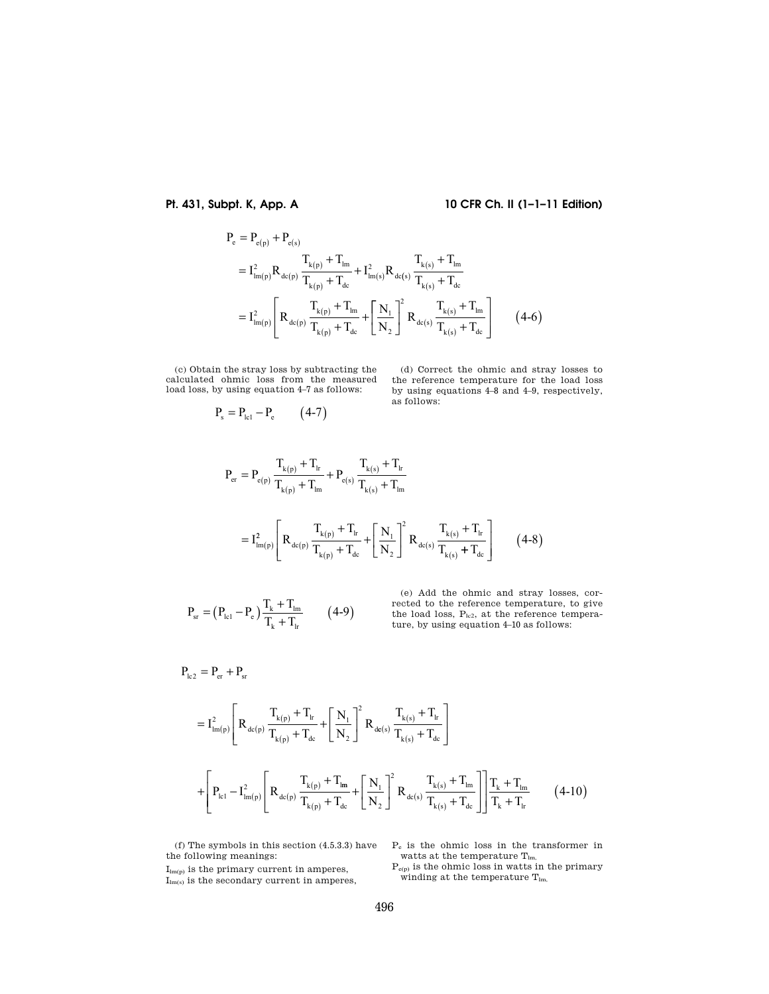# **Pt. 431, Subpt. K, App. A 10 CFR Ch. II (1–1–11 Edition)**

$$
P_e = P_{e(p)} + P_{e(s)}
$$
  
\n
$$
= I_{lm(p)}^2 R_{de(p)} \frac{T_{k(p)} + T_{lm}}{T_{k(p)} + T_{dc}} + I_{lm(s)}^2 R_{de(s)} \frac{T_{k(s)} + T_{lm}}{T_{k(s)} + T_{dc}}
$$
  
\n
$$
= I_{lm(p)}^2 \left[ R_{de(p)} \frac{T_{k(p)} + T_{lm}}{T_{k(p)} + T_{dc}} + \left[ \frac{N_1}{N_2} \right]^2 R_{de(s)} \frac{T_{k(s)} + T_{lm}}{T_{k(s)} + T_{dc}} \right]
$$
(4-6)

(c) Obtain the stray loss by subtracting the calculated ohmic loss from the measured load loss, by using equation 4–7 as follows:

 $P_s = P_{lcl} - P_e$  (4-7)

(d) Correct the ohmic and stray losses to the reference temperature for the load loss by using equations 4–8 and 4–9, respectively, as follows:

$$
P_{er} = P_{e(p)} \frac{T_{k(p)} + T_{lr}}{T_{k(p)} + T_{lm}} + P_{e(s)} \frac{T_{k(s)} + T_{lr}}{T_{k(s)} + T_{lm}}
$$
  

$$
= I_{lm(p)}^{2} \left[ R_{de(p)} \frac{T_{k(p)} + T_{lr}}{T_{k(p)} + T_{dc}} + \left[ \frac{N_{1}}{N_{2}} \right]^{2} R_{de(s)} \frac{T_{k(s)} + T_{lr}}{T_{k(s)} + T_{dc}} \right] \qquad (4-8)
$$

$$
P_{sr} = (P_{l c l} - P_e) \frac{T_k + T_{l m}}{T_k + T_{l r}} \qquad (4-9)
$$

(e) Add the ohmic and stray losses, corrected to the reference temperature, to give the load loss,  $P_{lc2}$ , at the reference temperature, by using equation 4–10 as follows:

$$
\mathbf{P}_{\text{lc2}} = \mathbf{P}_{\text{er}} + \mathbf{P}_{\text{sr}}
$$

$$
=I_{lm(p)}^{2}\left[R_{dc(p)}\frac{T_{k(p)}+T_{lr}}{T_{k(p)}+T_{dc}}+\left[\frac{N_{1}}{N_{2}}\right]^{2}R_{dc(s)}\frac{T_{k(s)}+T_{lr}}{T_{k(s)}+T_{dc}}\right]
$$

$$
+\left[P_{lcl}-I_{lm(p)}^{2}\left[R_{dc(p)}\frac{T_{k(p)}+T_{lm}}{T_{k(p)}+T_{dc}}+\left[\frac{N_{1}}{N_{2}}\right]^{2}R_{dc(s)}\frac{T_{k(s)}+T_{lm}}{T_{k(s)}+T_{dc}}\right]\right]\frac{T_{k}+T_{lm}}{T_{k}+T_{lr}}\qquad(4-10)
$$

(f) The symbols in this section (4.5.3.3) have the following meanings:

P<sup>e</sup> is the ohmic loss in the transformer in watts at the temperature T<sub>lm,</sub>

 $\mathcal{I}_{\text{lm(p)}}$  is the primary current in amperes,  $I_{lm(s)}$  is the secondary current in amperes,  $P_{e(p)}$  is the ohmic loss in watts in the primary winding at the temperature  $T_{lm}$ ,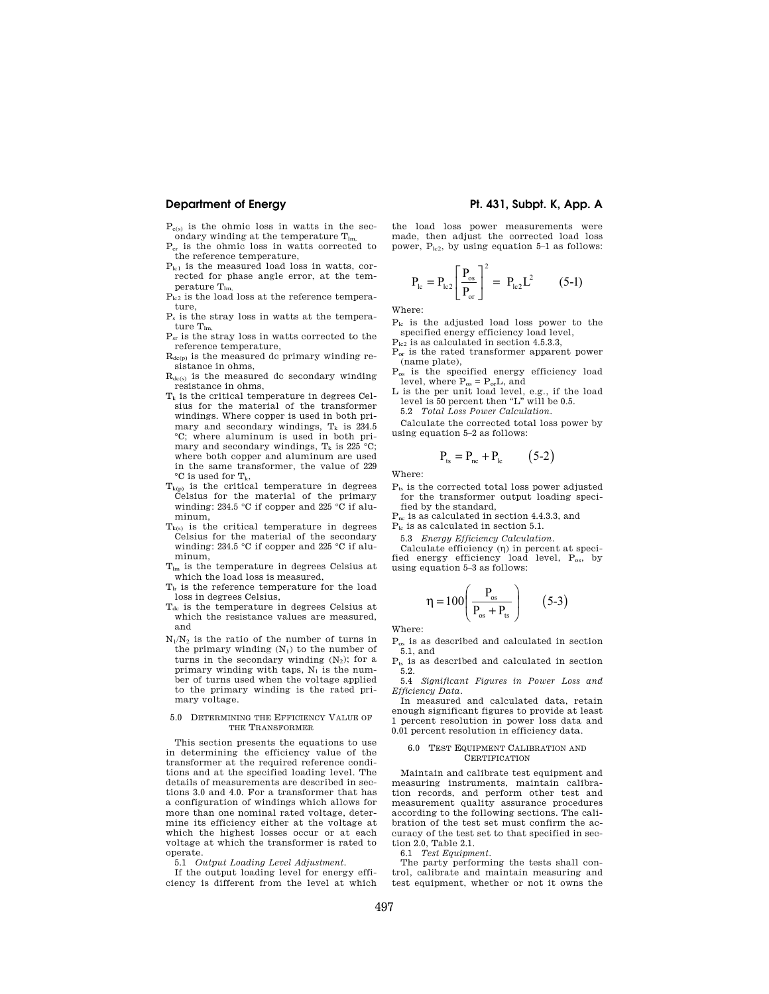$P_{e(s)}$  is the ohmic loss in watts in the secondary winding at the temperature  $T_{lm}$ 

- Per is the ohmic loss in watts corrected to the reference temperature,
- $P_{\text{left}}$  is the measured load loss in watts, corrected for phase angle error, at the temperature  $T_{lm}$
- $P_{1c2}$  is the load loss at the reference temperature,
- P<sup>s</sup> is the stray loss in watts at the temperature  $T_{lm}$
- Psr is the stray loss in watts corrected to the reference temperature,
- $R_{dc(p)}$  is the measured dc primary winding resistance in ohms,
- $R_{dc(s)}$  is the measured dc secondary winding resistance in ohms,
- $T_k$  is the critical temperature in degrees Celsius for the material of the transformer windings. Where copper is used in both primary and secondary windings,  $T_k$  is 234.5 °C; where aluminum is used in both primary and secondary windings,  $T_k$  is 225 °C; where both copper and aluminum are used in the same transformer, the value of 229  $\mathrm{^{\circ}C}$  is used for  $T_{k}$ ,
- $T_{k(p)}$  is the critical temperature in degrees Celsius for the material of the primary winding: 234.5 °C if copper and 225 °C if aluminum,
- $T_{k(s)}$  is the critical temperature in degrees Celsius for the material of the secondary winding: 234.5 °C if copper and 225 °C if aluminum,
- Tlm is the temperature in degrees Celsius at which the load loss is measured,
- $T<sub>lr</sub>$  is the reference temperature for the load loss in degrees Celsius,
- T<sub>dc</sub> is the temperature in degrees Celsius at which the resistance values are measured, and
- $N_1/N_2$  is the ratio of the number of turns in the primary winding  $(N_1)$  to the number of turns in the secondary winding  $(N_2)$ ; for a primary winding with taps,  $N_1$  is the number of turns used when the voltage applied to the primary winding is the rated primary voltage.

#### 5.0 DETERMINING THE EFFICIENCY VALUE OF THE TRANSFORMER

This section presents the equations to use in determining the efficiency value of the transformer at the required reference conditions and at the specified loading level. The details of measurements are described in sections 3.0 and 4.0. For a transformer that has a configuration of windings which allows for more than one nominal rated voltage, determine its efficiency either at the voltage at which the highest losses occur or at each voltage at which the transformer is rated to operate.

5.1 *Output Loading Level Adjustment.* 

If the output loading level for energy efficiency is different from the level at which

### **Department of Energy Pt. 431, Subpt. K, App. A**

the load loss power measurements were made, then adjust the corrected load loss power,  $P_{lc2}$ , by using equation 5–1 as follows:

$$
P_{lc} = P_{lc2} \left[ \frac{P_{os}}{P_{or}} \right]^2 = P_{lc2} L^2 \tag{5-1}
$$

Where:

- Plc is the adjusted load loss power to the specified energy efficiency load level,
- $\rm P_{lc2}$  is as calculated in section 4.5.3.3,
- Por is the rated transformer apparent power (name plate),
- Pos is the specified energy efficiency load level, where  $P_{os} = P_{or}L$ , and
- L is the per unit load level, e.g., if the load level is 50 percent then "L" will be 0.5. 5.2 *Total Loss Power Calculation.*

Calculate the corrected total loss power by using equation 5–2 as follows:

 $P_{\text{ts}} = P_{\text{nc}} + P_{\text{lc}}$  (5-2)

Where:

 $P_{ts}$  is the corrected total loss power adjusted for the transformer output loading specified by the standard,

Pnc is as calculated in section 4.4.3.3, and

Plc is as calculated in section 5.1.

5.3 *Energy Efficiency Calculation.* 

Calculate efficiency  $(\eta)$  in percent at specified energy efficiency load level, Pos, by using equation 5–3 as follows:

$$
\eta = 100 \left( \frac{P_{\text{os}}}{P_{\text{os}} + P_{\text{ts}}} \right) \qquad \text{(5-3)}
$$

Where:

Pos is as described and calculated in section 5.1, and

- $P_{ts}$  is as described and calculated in section 5.2.
- 5.4 *Significant Figures in Power Loss and Efficiency Data.*

In measured and calculated data, retain enough significant figures to provide at least 1 percent resolution in power loss data and 0.01 percent resolution in efficiency data.

#### 6.0 TEST EQUIPMENT CALIBRATION AND **CERTIFICATION**

Maintain and calibrate test equipment and measuring instruments, maintain calibration records, and perform other test and measurement quality assurance procedures according to the following sections. The calibration of the test set must confirm the accuracy of the test set to that specified in section 2.0, Table 2.1.

6.1 *Test Equipment.* 

The party performing the tests shall control, calibrate and maintain measuring and test equipment, whether or not it owns the